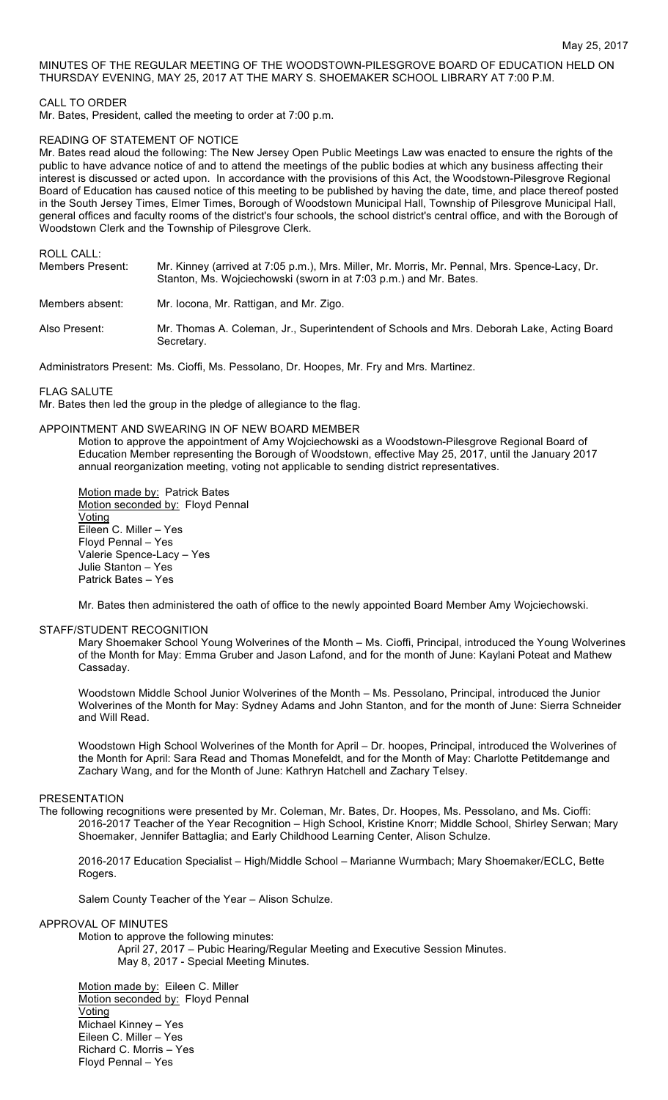## MINUTES OF THE REGULAR MEETING OF THE WOODSTOWN-PILESGROVE BOARD OF EDUCATION HELD ON THURSDAY EVENING, MAY 25, 2017 AT THE MARY S. SHOEMAKER SCHOOL LIBRARY AT 7:00 P.M.

## CALL TO ORDER

Mr. Bates, President, called the meeting to order at 7:00 p.m.

#### READING OF STATEMENT OF NOTICE

Mr. Bates read aloud the following: The New Jersey Open Public Meetings Law was enacted to ensure the rights of the public to have advance notice of and to attend the meetings of the public bodies at which any business affecting their interest is discussed or acted upon. In accordance with the provisions of this Act, the Woodstown-Pilesgrove Regional Board of Education has caused notice of this meeting to be published by having the date, time, and place thereof posted in the South Jersey Times, Elmer Times, Borough of Woodstown Municipal Hall, Township of Pilesgrove Municipal Hall, general offices and faculty rooms of the district's four schools, the school district's central office, and with the Borough of Woodstown Clerk and the Township of Pilesgrove Clerk.

ROLL CALL:

| Members Present: | Mr. Kinney (arrived at 7:05 p.m.), Mrs. Miller, Mr. Morris, Mr. Pennal, Mrs. Spence-Lacy, Dr.<br>Stanton, Ms. Wojciechowski (sworn in at 7:03 p.m.) and Mr. Bates. |
|------------------|--------------------------------------------------------------------------------------------------------------------------------------------------------------------|
| Members absent:  | Mr. locona, Mr. Rattigan, and Mr. Zigo.                                                                                                                            |
| Also Present:    | Mr. Thomas A. Coleman, Jr., Superintendent of Schools and Mrs. Deborah Lake, Acting Board<br>Secretary.                                                            |

Administrators Present: Ms. Cioffi, Ms. Pessolano, Dr. Hoopes, Mr. Fry and Mrs. Martinez.

FLAG SALUTE

Mr. Bates then led the group in the pledge of allegiance to the flag.

#### APPOINTMENT AND SWEARING IN OF NEW BOARD MEMBER

Motion to approve the appointment of Amy Wojciechowski as a Woodstown-Pilesgrove Regional Board of Education Member representing the Borough of Woodstown, effective May 25, 2017, until the January 2017 annual reorganization meeting, voting not applicable to sending district representatives.

Motion made by: Patrick Bates Motion seconded by: Floyd Pennal Voting Eileen C. Miller – Yes Floyd Pennal – Yes Valerie Spence-Lacy – Yes Julie Stanton – Yes Patrick Bates – Yes

Mr. Bates then administered the oath of office to the newly appointed Board Member Amy Wojciechowski.

#### STAFF/STUDENT RECOGNITION

Mary Shoemaker School Young Wolverines of the Month – Ms. Cioffi, Principal, introduced the Young Wolverines of the Month for May: Emma Gruber and Jason Lafond, and for the month of June: Kaylani Poteat and Mathew Cassaday.

Woodstown Middle School Junior Wolverines of the Month – Ms. Pessolano, Principal, introduced the Junior Wolverines of the Month for May: Sydney Adams and John Stanton, and for the month of June: Sierra Schneider and Will Read.

Woodstown High School Wolverines of the Month for April – Dr. hoopes, Principal, introduced the Wolverines of the Month for April: Sara Read and Thomas Monefeldt, and for the Month of May: Charlotte Petitdemange and Zachary Wang, and for the Month of June: Kathryn Hatchell and Zachary Telsey.

#### PRESENTATION

The following recognitions were presented by Mr. Coleman, Mr. Bates, Dr. Hoopes, Ms. Pessolano, and Ms. Cioffi: 2016-2017 Teacher of the Year Recognition – High School, Kristine Knorr; Middle School, Shirley Serwan; Mary Shoemaker, Jennifer Battaglia; and Early Childhood Learning Center, Alison Schulze.

2016-2017 Education Specialist – High/Middle School – Marianne Wurmbach; Mary Shoemaker/ECLC, Bette Rogers.

Salem County Teacher of the Year – Alison Schulze.

#### APPROVAL OF MINUTES

Motion to approve the following minutes:

April 27, 2017 – Pubic Hearing/Regular Meeting and Executive Session Minutes. May 8, 2017 - Special Meeting Minutes.

Motion made by: Eileen C. Miller Motion seconded by: Floyd Pennal Voting Michael Kinney – Yes Eileen C. Miller – Yes Richard C. Morris – Yes Floyd Pennal – Yes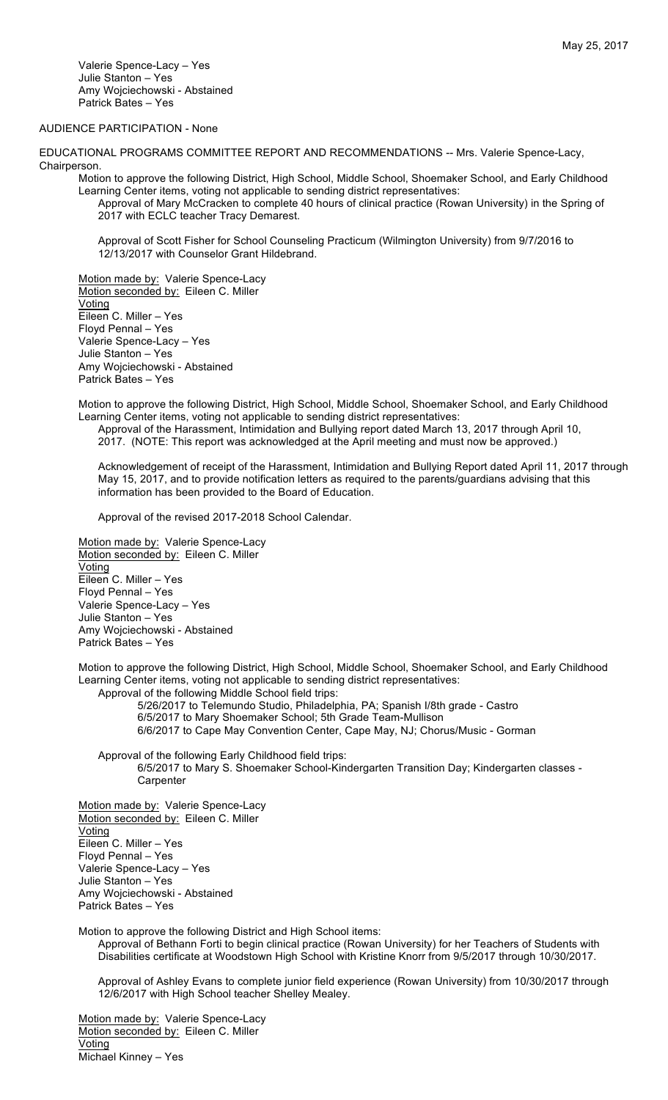Valerie Spence-Lacy – Yes Julie Stanton – Yes Amy Wojciechowski - Abstained Patrick Bates – Yes

# AUDIENCE PARTICIPATION - None

EDUCATIONAL PROGRAMS COMMITTEE REPORT AND RECOMMENDATIONS -- Mrs. Valerie Spence-Lacy, Chairperson.

Motion to approve the following District, High School, Middle School, Shoemaker School, and Early Childhood Learning Center items, voting not applicable to sending district representatives:

Approval of Mary McCracken to complete 40 hours of clinical practice (Rowan University) in the Spring of 2017 with ECLC teacher Tracy Demarest.

Approval of Scott Fisher for School Counseling Practicum (Wilmington University) from 9/7/2016 to 12/13/2017 with Counselor Grant Hildebrand.

Motion made by: Valerie Spence-Lacy Motion seconded by: Eileen C. Miller Voting Eileen C. Miller – Yes Floyd Pennal – Yes Valerie Spence-Lacy – Yes Julie Stanton – Yes Amy Wojciechowski - Abstained Patrick Bates – Yes

Motion to approve the following District, High School, Middle School, Shoemaker School, and Early Childhood Learning Center items, voting not applicable to sending district representatives:

Approval of the Harassment, Intimidation and Bullying report dated March 13, 2017 through April 10,

2017. (NOTE: This report was acknowledged at the April meeting and must now be approved.)

Acknowledgement of receipt of the Harassment, Intimidation and Bullying Report dated April 11, 2017 through May 15, 2017, and to provide notification letters as required to the parents/guardians advising that this information has been provided to the Board of Education.

Approval of the revised 2017-2018 School Calendar.

Motion made by: Valerie Spence-Lacy Motion seconded by: Eileen C. Miller Voting Eileen C. Miller – Yes Floyd Pennal – Yes Valerie Spence-Lacy – Yes Julie Stanton – Yes Amy Wojciechowski - Abstained Patrick Bates – Yes

Motion to approve the following District, High School, Middle School, Shoemaker School, and Early Childhood Learning Center items, voting not applicable to sending district representatives: Approval of the following Middle School field trips:

5/26/2017 to Telemundo Studio, Philadelphia, PA; Spanish I/8th grade - Castro 6/5/2017 to Mary Shoemaker School; 5th Grade Team-Mullison 6/6/2017 to Cape May Convention Center, Cape May, NJ; Chorus/Music - Gorman

Approval of the following Early Childhood field trips: 6/5/2017 to Mary S. Shoemaker School-Kindergarten Transition Day; Kindergarten classes - **Carpenter** 

Motion made by: Valerie Spence-Lacy Motion seconded by: Eileen C. Miller Voting Eileen C. Miller – Yes Floyd Pennal – Yes Valerie Spence-Lacy – Yes Julie Stanton – Yes Amy Wojciechowski - Abstained Patrick Bates – Yes

Motion to approve the following District and High School items:

Approval of Bethann Forti to begin clinical practice (Rowan University) for her Teachers of Students with Disabilities certificate at Woodstown High School with Kristine Knorr from 9/5/2017 through 10/30/2017.

Approval of Ashley Evans to complete junior field experience (Rowan University) from 10/30/2017 through 12/6/2017 with High School teacher Shelley Mealey.

Motion made by: Valerie Spence-Lacy Motion seconded by: Eileen C. Miller Voting Michael Kinney – Yes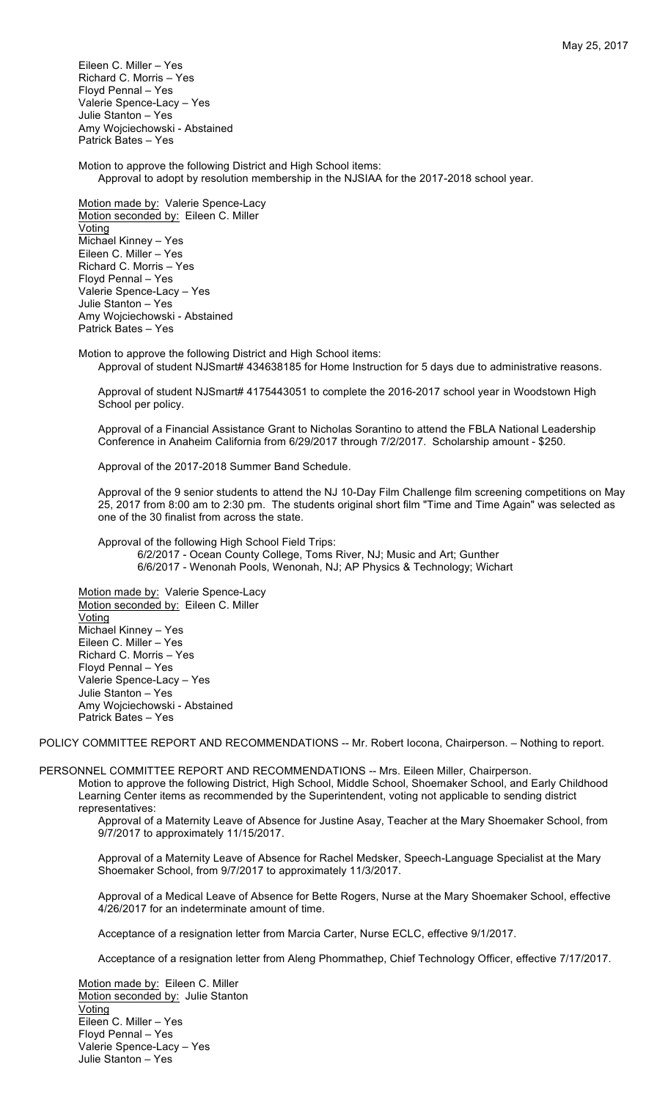Eileen C. Miller – Yes Richard C. Morris – Yes Floyd Pennal – Yes Valerie Spence-Lacy – Yes Julie Stanton – Yes Amy Wojciechowski - Abstained Patrick Bates – Yes

Motion to approve the following District and High School items: Approval to adopt by resolution membership in the NJSIAA for the 2017-2018 school year.

Motion made by: Valerie Spence-Lacy Motion seconded by: Eileen C. Miller Voting Michael Kinney – Yes Eileen C. Miller – Yes Richard C. Morris – Yes Floyd Pennal – Yes Valerie Spence-Lacy – Yes Julie Stanton – Yes Amy Wojciechowski - Abstained Patrick Bates – Yes

Motion to approve the following District and High School items: Approval of student NJSmart# 434638185 for Home Instruction for 5 days due to administrative reasons.

Approval of student NJSmart# 4175443051 to complete the 2016-2017 school year in Woodstown High School per policy.

Approval of a Financial Assistance Grant to Nicholas Sorantino to attend the FBLA National Leadership Conference in Anaheim California from 6/29/2017 through 7/2/2017. Scholarship amount - \$250.

Approval of the 2017-2018 Summer Band Schedule.

Approval of the 9 senior students to attend the NJ 10-Day Film Challenge film screening competitions on May 25, 2017 from 8:00 am to 2:30 pm. The students original short film "Time and Time Again" was selected as one of the 30 finalist from across the state.

Approval of the following High School Field Trips: 6/2/2017 - Ocean County College, Toms River, NJ; Music and Art; Gunther 6/6/2017 - Wenonah Pools, Wenonah, NJ; AP Physics & Technology; Wichart

Motion made by: Valerie Spence-Lacy Motion seconded by: Eileen C. Miller Voting Michael Kinney – Yes Eileen C. Miller – Yes Richard C. Morris – Yes Floyd Pennal – Yes Valerie Spence-Lacy – Yes Julie Stanton – Yes Amy Wojciechowski - Abstained Patrick Bates – Yes

POLICY COMMITTEE REPORT AND RECOMMENDATIONS -- Mr. Robert locona, Chairperson. - Nothing to report.

PERSONNEL COMMITTEE REPORT AND RECOMMENDATIONS -- Mrs. Eileen Miller, Chairperson.

Motion to approve the following District, High School, Middle School, Shoemaker School, and Early Childhood Learning Center items as recommended by the Superintendent, voting not applicable to sending district representatives:

Approval of a Maternity Leave of Absence for Justine Asay, Teacher at the Mary Shoemaker School, from 9/7/2017 to approximately 11/15/2017.

Approval of a Maternity Leave of Absence for Rachel Medsker, Speech-Language Specialist at the Mary Shoemaker School, from 9/7/2017 to approximately 11/3/2017.

Approval of a Medical Leave of Absence for Bette Rogers, Nurse at the Mary Shoemaker School, effective 4/26/2017 for an indeterminate amount of time.

Acceptance of a resignation letter from Marcia Carter, Nurse ECLC, effective 9/1/2017.

Acceptance of a resignation letter from Aleng Phommathep, Chief Technology Officer, effective 7/17/2017.

Motion made by: Eileen C. Miller Motion seconded by: Julie Stanton Voting Eileen C. Miller – Yes Floyd Pennal – Yes Valerie Spence-Lacy – Yes Julie Stanton – Yes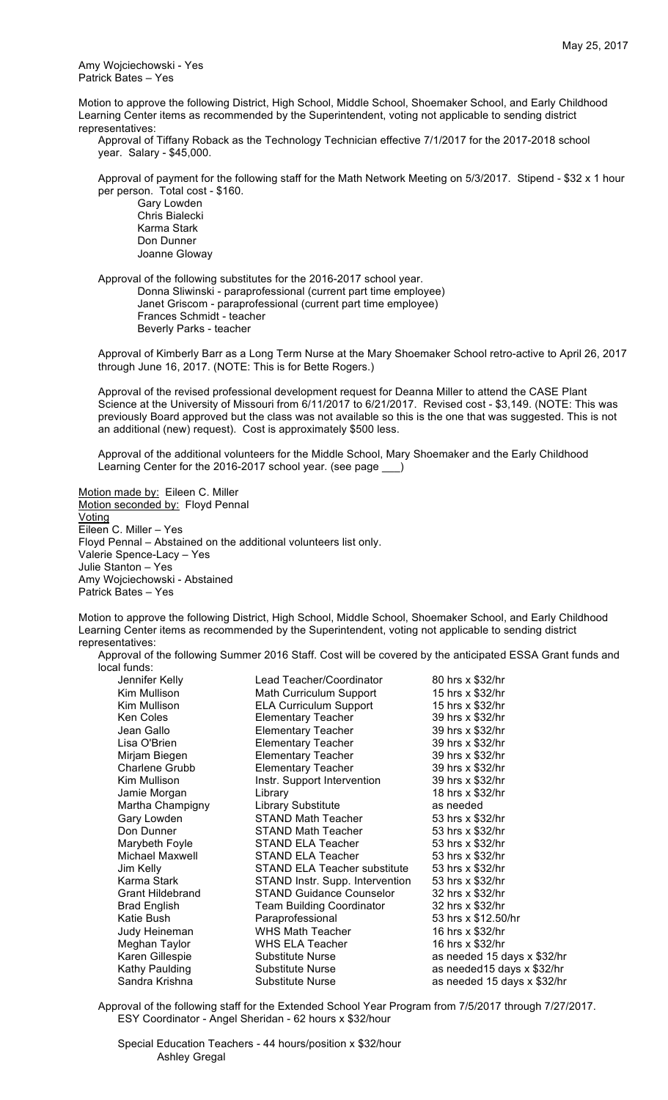Amy Wojciechowski - Yes Patrick Bates – Yes

Motion to approve the following District, High School, Middle School, Shoemaker School, and Early Childhood Learning Center items as recommended by the Superintendent, voting not applicable to sending district representatives:

Approval of Tiffany Roback as the Technology Technician effective 7/1/2017 for the 2017-2018 school year. Salary - \$45,000.

Approval of payment for the following staff for the Math Network Meeting on 5/3/2017. Stipend - \$32 x 1 hour per person. Total cost - \$160.

Gary Lowden Chris Bialecki Karma Stark Don Dunner Joanne Gloway

Approval of the following substitutes for the 2016-2017 school year. Donna Sliwinski - paraprofessional (current part time employee) Janet Griscom - paraprofessional (current part time employee) Frances Schmidt - teacher Beverly Parks - teacher

Approval of Kimberly Barr as a Long Term Nurse at the Mary Shoemaker School retro-active to April 26, 2017 through June 16, 2017. (NOTE: This is for Bette Rogers.)

Approval of the revised professional development request for Deanna Miller to attend the CASE Plant Science at the University of Missouri from 6/11/2017 to 6/21/2017. Revised cost - \$3,149. (NOTE: This was previously Board approved but the class was not available so this is the one that was suggested. This is not an additional (new) request). Cost is approximately \$500 less.

Approval of the additional volunteers for the Middle School, Mary Shoemaker and the Early Childhood Learning Center for the 2016-2017 school year. (see page \_\_\_)

Motion made by: Eileen C. Miller Motion seconded by: Floyd Pennal Voting Eileen C. Miller – Yes Floyd Pennal – Abstained on the additional volunteers list only. Valerie Spence-Lacy – Yes Julie Stanton – Yes Amy Wojciechowski - Abstained Patrick Bates – Yes

Motion to approve the following District, High School, Middle School, Shoemaker School, and Early Childhood Learning Center items as recommended by the Superintendent, voting not applicable to sending district representatives:

Approval of the following Summer 2016 Staff. Cost will be covered by the anticipated ESSA Grant funds and local funds:

| Jennifer Kelly          | Lead Teacher/Coordinator            | 80 hrs x \$32/hr            |
|-------------------------|-------------------------------------|-----------------------------|
| Kim Mullison            | Math Curriculum Support             | 15 hrs x \$32/hr            |
| Kim Mullison            | <b>ELA Curriculum Support</b>       | 15 hrs x \$32/hr            |
| Ken Coles               | <b>Elementary Teacher</b>           | 39 hrs x \$32/hr            |
| Jean Gallo              | <b>Elementary Teacher</b>           | 39 hrs x \$32/hr            |
| Lisa O'Brien            | <b>Elementary Teacher</b>           | 39 hrs x \$32/hr            |
| Mirjam Biegen           | <b>Elementary Teacher</b>           | 39 hrs x \$32/hr            |
| Charlene Grubb          | <b>Elementary Teacher</b>           | 39 hrs x \$32/hr            |
| Kim Mullison            | Instr. Support Intervention         | 39 hrs x \$32/hr            |
| Jamie Morgan            | Library                             | 18 hrs x \$32/hr            |
| Martha Champigny        | Library Substitute                  | as needed                   |
| Gary Lowden             | STAND Math Teacher                  | 53 hrs x \$32/hr            |
| Don Dunner              | <b>STAND Math Teacher</b>           | 53 hrs x \$32/hr            |
| Marybeth Foyle          | STAND ELA Teacher                   | 53 hrs x \$32/hr            |
| Michael Maxwell         | <b>STAND ELA Teacher</b>            | 53 hrs x \$32/hr            |
| Jim Kelly               | <b>STAND ELA Teacher substitute</b> | 53 hrs x \$32/hr            |
| Karma Stark             | STAND Instr. Supp. Intervention     | 53 hrs x \$32/hr            |
| <b>Grant Hildebrand</b> | <b>STAND Guidance Counselor</b>     | 32 hrs x \$32/hr            |
| <b>Brad English</b>     | <b>Team Building Coordinator</b>    | 32 hrs x \$32/hr            |
| Katie Bush              | Paraprofessional                    | 53 hrs x \$12.50/hr         |
| Judy Heineman           | <b>WHS Math Teacher</b>             | 16 hrs x \$32/hr            |
| Meghan Taylor           | WHS ELA Teacher                     | 16 hrs x \$32/hr            |
| Karen Gillespie         | Substitute Nurse                    | as needed 15 days x \$32/hr |
| Kathy Paulding          | Substitute Nurse                    | as needed15 days x \$32/hr  |
| Sandra Krishna          | Substitute Nurse                    | as needed 15 days x \$32/hr |

Approval of the following staff for the Extended School Year Program from 7/5/2017 through 7/27/2017. ESY Coordinator - Angel Sheridan - 62 hours x \$32/hour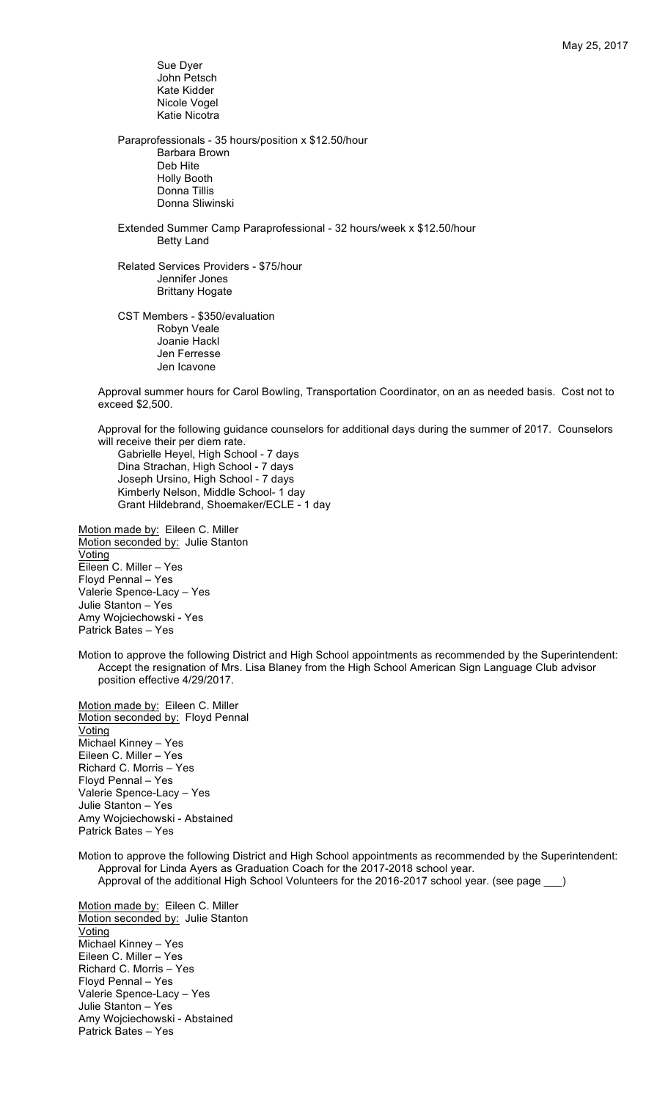Sue Dyer John Petsch Kate Kidder Nicole Vogel Katie Nicotra Paraprofessionals - 35 hours/position x \$12.50/hour Barbara Brown Deb Hite Holly Booth Donna Tillis Donna Sliwinski Extended Summer Camp Paraprofessional - 32 hours/week x \$12.50/hour Betty Land Related Services Providers - \$75/hour Jennifer Jones Brittany Hogate CST Members - \$350/evaluation Robyn Veale

Joanie Hackl Jen Ferresse Jen Icavone

Approval summer hours for Carol Bowling, Transportation Coordinator, on an as needed basis. Cost not to exceed \$2,500.

Approval for the following guidance counselors for additional days during the summer of 2017. Counselors will receive their per diem rate.

Gabrielle Heyel, High School - 7 days Dina Strachan, High School - 7 days Joseph Ursino, High School - 7 days Kimberly Nelson, Middle School- 1 day Grant Hildebrand, Shoemaker/ECLE - 1 day

Motion made by: Eileen C. Miller Motion seconded by: Julie Stanton Voting Eileen C. Miller – Yes Floyd Pennal – Yes Valerie Spence-Lacy – Yes Julie Stanton – Yes Amy Wojciechowski - Yes Patrick Bates – Yes

Motion to approve the following District and High School appointments as recommended by the Superintendent: Accept the resignation of Mrs. Lisa Blaney from the High School American Sign Language Club advisor position effective 4/29/2017.

Motion made by: Eileen C. Miller Motion seconded by: Floyd Pennal Voting Michael Kinney – Yes Eileen C. Miller – Yes Richard C. Morris – Yes Floyd Pennal – Yes Valerie Spence-Lacy – Yes Julie Stanton – Yes Amy Wojciechowski - Abstained Patrick Bates – Yes

Motion to approve the following District and High School appointments as recommended by the Superintendent: Approval for Linda Ayers as Graduation Coach for the 2017-2018 school year. Approval of the additional High School Volunteers for the 2016-2017 school year. (see page \_\_)

Motion made by: Eileen C. Miller Motion seconded by: Julie Stanton Voting Michael Kinney – Yes Eileen C. Miller – Yes Richard C. Morris – Yes Floyd Pennal – Yes Valerie Spence-Lacy – Yes Julie Stanton – Yes Amy Wojciechowski - Abstained Patrick Bates – Yes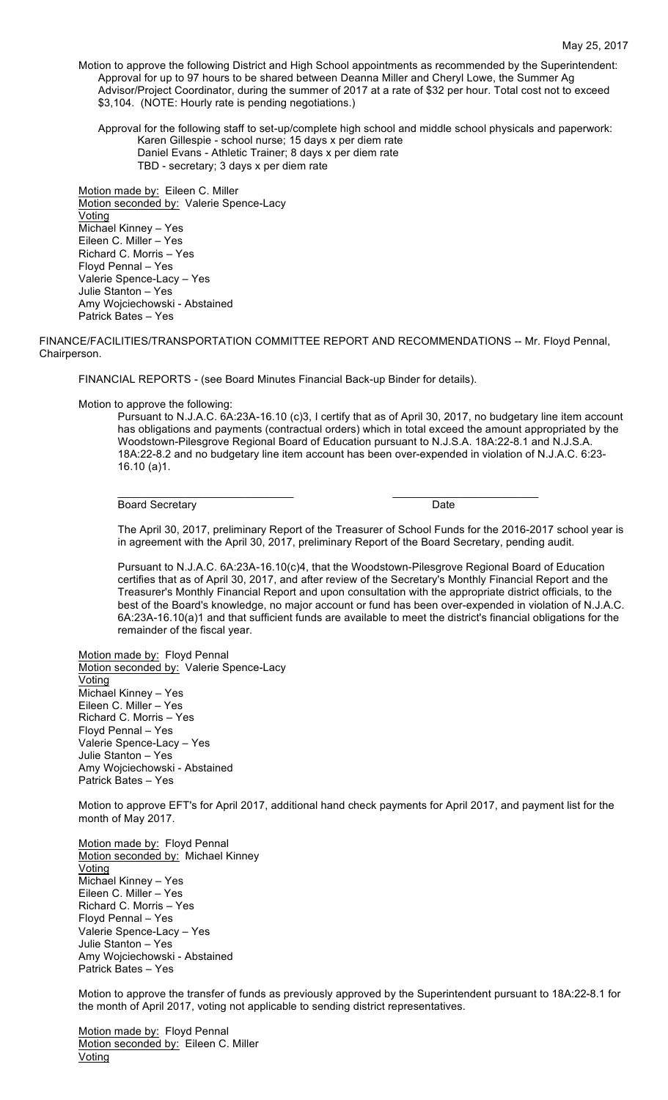Motion to approve the following District and High School appointments as recommended by the Superintendent: Approval for up to 97 hours to be shared between Deanna Miller and Cheryl Lowe, the Summer Ag Advisor/Project Coordinator, during the summer of 2017 at a rate of \$32 per hour. Total cost not to exceed \$3,104. (NOTE: Hourly rate is pending negotiations.)

Approval for the following staff to set-up/complete high school and middle school physicals and paperwork: Karen Gillespie - school nurse; 15 days x per diem rate Daniel Evans - Athletic Trainer; 8 days x per diem rate TBD - secretary; 3 days x per diem rate

Motion made by: Eileen C. Miller Motion seconded by: Valerie Spence-Lacy **Voting** Michael Kinney – Yes Eileen C. Miller – Yes Richard C. Morris – Yes Floyd Pennal – Yes Valerie Spence-Lacy – Yes Julie Stanton – Yes Amy Wojciechowski - Abstained Patrick Bates – Yes

FINANCE/FACILITIES/TRANSPORTATION COMMITTEE REPORT AND RECOMMENDATIONS -- Mr. Floyd Pennal, Chairperson.

 $\mathcal{L}_\text{max}$  , and the set of the set of the set of the set of the set of the set of the set of the set of the set of the set of the set of the set of the set of the set of the set of the set of the set of the set of the

FINANCIAL REPORTS - (see Board Minutes Financial Back-up Binder for details).

Motion to approve the following:

Pursuant to N.J.A.C. 6A:23A-16.10 (c)3, I certify that as of April 30, 2017, no budgetary line item account has obligations and payments (contractual orders) which in total exceed the amount appropriated by the Woodstown-Pilesgrove Regional Board of Education pursuant to N.J.S.A. 18A:22-8.1 and N.J.S.A. 18A:22-8.2 and no budgetary line item account has been over-expended in violation of N.J.A.C. 6:23- 16.10 (a)1.

Board Secretary **Date** 

The April 30, 2017, preliminary Report of the Treasurer of School Funds for the 2016-2017 school year is in agreement with the April 30, 2017, preliminary Report of the Board Secretary, pending audit.

Pursuant to N.J.A.C. 6A:23A-16.10(c)4, that the Woodstown-Pilesgrove Regional Board of Education certifies that as of April 30, 2017, and after review of the Secretary's Monthly Financial Report and the Treasurer's Monthly Financial Report and upon consultation with the appropriate district officials, to the best of the Board's knowledge, no major account or fund has been over-expended in violation of N.J.A.C. 6A:23A-16.10(a)1 and that sufficient funds are available to meet the district's financial obligations for the remainder of the fiscal year.

Motion made by: Floyd Pennal Motion seconded by: Valerie Spence-Lacy **Voting** Michael Kinney – Yes Eileen C. Miller – Yes Richard C. Morris – Yes Floyd Pennal – Yes Valerie Spence-Lacy – Yes Julie Stanton – Yes Amy Wojciechowski - Abstained Patrick Bates – Yes

Motion to approve EFT's for April 2017, additional hand check payments for April 2017, and payment list for the month of May 2017.

Motion made by: Floyd Pennal Motion seconded by: Michael Kinney **Voting** Michael Kinney – Yes Eileen C. Miller – Yes Richard C. Morris – Yes Floyd Pennal – Yes Valerie Spence-Lacy – Yes Julie Stanton – Yes Amy Wojciechowski - Abstained Patrick Bates – Yes

Motion to approve the transfer of funds as previously approved by the Superintendent pursuant to 18A:22-8.1 for the month of April 2017, voting not applicable to sending district representatives.

Motion made by: Floyd Pennal Motion seconded by: Eileen C. Miller Voting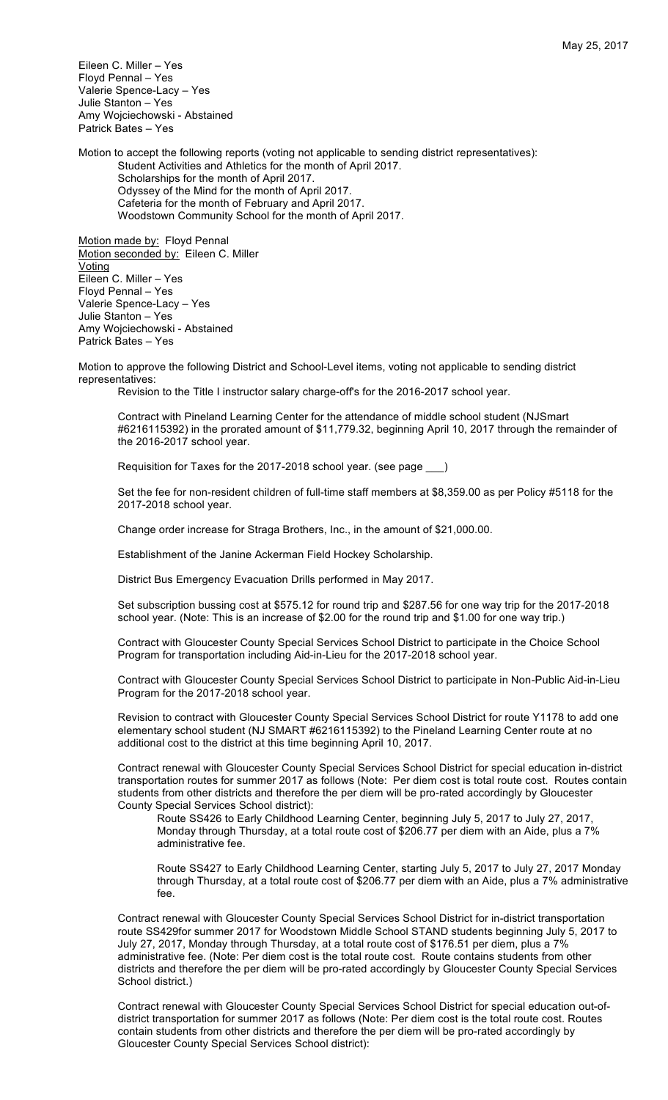Eileen C. Miller – Yes Floyd Pennal – Yes Valerie Spence-Lacy – Yes Julie Stanton – Yes Amy Wojciechowski - Abstained Patrick Bates – Yes

Motion to accept the following reports (voting not applicable to sending district representatives): Student Activities and Athletics for the month of April 2017. Scholarships for the month of April 2017. Odyssey of the Mind for the month of April 2017. Cafeteria for the month of February and April 2017. Woodstown Community School for the month of April 2017.

Motion made by: Floyd Pennal Motion seconded by: Eileen C. Miller **Voting** Eileen C. Miller – Yes Floyd Pennal – Yes Valerie Spence-Lacy – Yes Julie Stanton – Yes Amy Wojciechowski - Abstained Patrick Bates – Yes

Motion to approve the following District and School-Level items, voting not applicable to sending district representatives:

Revision to the Title I instructor salary charge-off's for the 2016-2017 school year.

Contract with Pineland Learning Center for the attendance of middle school student (NJSmart #6216115392) in the prorated amount of \$11,779.32, beginning April 10, 2017 through the remainder of the 2016-2017 school year.

Requisition for Taxes for the 2017-2018 school year. (see page \_\_\_)

Set the fee for non-resident children of full-time staff members at \$8,359.00 as per Policy #5118 for the 2017-2018 school year.

Change order increase for Straga Brothers, Inc., in the amount of \$21,000.00.

Establishment of the Janine Ackerman Field Hockey Scholarship.

District Bus Emergency Evacuation Drills performed in May 2017.

Set subscription bussing cost at \$575.12 for round trip and \$287.56 for one way trip for the 2017-2018 school year. (Note: This is an increase of \$2.00 for the round trip and \$1.00 for one way trip.)

Contract with Gloucester County Special Services School District to participate in the Choice School Program for transportation including Aid-in-Lieu for the 2017-2018 school year.

Contract with Gloucester County Special Services School District to participate in Non-Public Aid-in-Lieu Program for the 2017-2018 school year.

Revision to contract with Gloucester County Special Services School District for route Y1178 to add one elementary school student (NJ SMART #6216115392) to the Pineland Learning Center route at no additional cost to the district at this time beginning April 10, 2017.

Contract renewal with Gloucester County Special Services School District for special education in-district transportation routes for summer 2017 as follows (Note: Per diem cost is total route cost. Routes contain students from other districts and therefore the per diem will be pro-rated accordingly by Gloucester County Special Services School district):

Route SS426 to Early Childhood Learning Center, beginning July 5, 2017 to July 27, 2017, Monday through Thursday, at a total route cost of \$206.77 per diem with an Aide, plus a 7% administrative fee.

Route SS427 to Early Childhood Learning Center, starting July 5, 2017 to July 27, 2017 Monday through Thursday, at a total route cost of \$206.77 per diem with an Aide, plus a 7% administrative fee.

Contract renewal with Gloucester County Special Services School District for in-district transportation route SS429for summer 2017 for Woodstown Middle School STAND students beginning July 5, 2017 to July 27, 2017, Monday through Thursday, at a total route cost of \$176.51 per diem, plus a 7% administrative fee. (Note: Per diem cost is the total route cost. Route contains students from other districts and therefore the per diem will be pro-rated accordingly by Gloucester County Special Services School district.)

Contract renewal with Gloucester County Special Services School District for special education out-ofdistrict transportation for summer 2017 as follows (Note: Per diem cost is the total route cost. Routes contain students from other districts and therefore the per diem will be pro-rated accordingly by Gloucester County Special Services School district):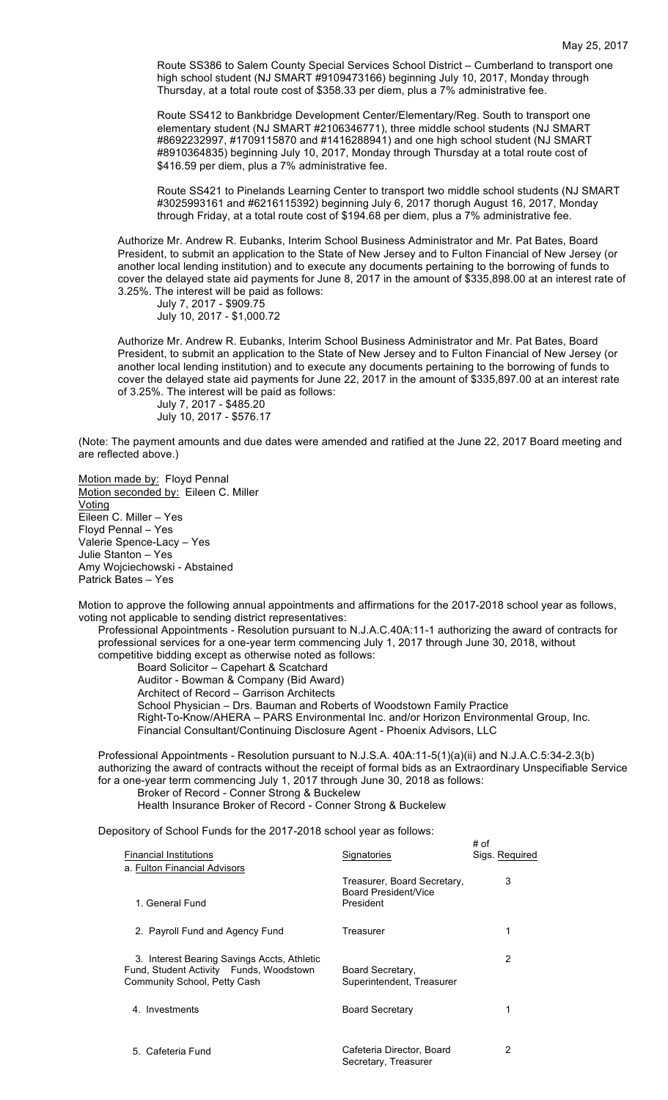Route SS386 to Salem County Special Services School District – Cumberland to transport one high school student (NJ SMART #9109473166) beginning July 10, 2017, Monday through Thursday, at a total route cost of \$358.33 per diem, plus a 7% administrative fee.

Route SS412 to Bankbridge Development Center/Elementary/Reg. South to transport one elementary student (NJ SMART #2106346771), three middle school students (NJ SMART #8692232997, #1709115870 and #1416288941) and one high school student (NJ SMART #8910364835) beginning July 10, 2017, Monday through Thursday at a total route cost of \$416.59 per diem, plus a 7% administrative fee.

Route SS421 to Pinelands Learning Center to transport two middle school students (NJ SMART #3025993161 and #6216115392) beginning July 6, 2017 thorugh August 16, 2017, Monday through Friday, at a total route cost of \$194.68 per diem, plus a 7% administrative fee.

Authorize Mr. Andrew R. Eubanks, Interim School Business Administrator and Mr. Pat Bates, Board President, to submit an application to the State of New Jersey and to Fulton Financial of New Jersey (or another local lending institution) and to execute any documents pertaining to the borrowing of funds to cover the delayed state aid payments for June 8, 2017 in the amount of \$335,898.00 at an interest rate of 3.25%. The interest will be paid as follows:

July 7, 2017 - \$909.75 July 10, 2017 - \$1,000.72

Authorize Mr. Andrew R. Eubanks, Interim School Business Administrator and Mr. Pat Bates, Board President, to submit an application to the State of New Jersey and to Fulton Financial of New Jersey (or another local lending institution) and to execute any documents pertaining to the borrowing of funds to cover the delayed state aid payments for June 22, 2017 in the amount of \$335,897.00 at an interest rate of 3.25%. The interest will be paid as follows:

July 7, 2017 - \$485.20 July 10, 2017 - \$576.17

(Note: The payment amounts and due dates were amended and ratified at the June 22, 2017 Board meeting and are reflected above.)

Motion made by: Floyd Pennal Motion seconded by: Eileen C. Miller Voting Eileen C. Miller – Yes Floyd Pennal – Yes Valerie Spence-Lacy – Yes Julie Stanton – Yes Amy Wojciechowski - Abstained Patrick Bates – Yes

Motion to approve the following annual appointments and affirmations for the 2017-2018 school year as follows, voting not applicable to sending district representatives:

Professional Appointments - Resolution pursuant to N.J.A.C.40A:11-1 authorizing the award of contracts for professional services for a one-year term commencing July 1, 2017 through June 30, 2018, without competitive bidding except as otherwise noted as follows:

Board Solicitor – Capehart & Scatchard Auditor - Bowman & Company (Bid Award) Architect of Record – Garrison Architects School Physician – Drs. Bauman and Roberts of Woodstown Family Practice Right-To-Know/AHERA – PARS Environmental Inc. and/or Horizon Environmental Group, Inc. Financial Consultant/Continuing Disclosure Agent - Phoenix Advisors, LLC

Professional Appointments - Resolution pursuant to N.J.S.A. 40A:11-5(1)(a)(ii) and N.J.A.C.5:34-2.3(b) authorizing the award of contracts without the receipt of formal bids as an Extraordinary Unspecifiable Service for a one-year term commencing July 1, 2017 through June 30, 2018 as follows: Broker of Record - Conner Strong & Buckelew

 $# of$ 

Health Insurance Broker of Record - Conner Strong & Buckelew

Depository of School Funds for the 2017-2018 school year as follows:

| <b>Financial Institutions</b><br>a. Fulton Financial Advisors                                                          | Signatories                                                             | Sigs. Required |
|------------------------------------------------------------------------------------------------------------------------|-------------------------------------------------------------------------|----------------|
| 1. General Fund                                                                                                        | Treasurer, Board Secretary,<br><b>Board President/Vice</b><br>President | 3              |
| 2. Payroll Fund and Agency Fund                                                                                        | Treasurer                                                               | 1              |
| 3. Interest Bearing Savings Accts, Athletic<br>Fund, Student Activity Funds, Woodstown<br>Community School, Petty Cash | Board Secretary,<br>Superintendent, Treasurer                           | 2              |
| 4. Investments                                                                                                         | <b>Board Secretary</b>                                                  | 1              |
| 5. Cafeteria Fund                                                                                                      | Cafeteria Director, Board<br>Secretary, Treasurer                       | 2              |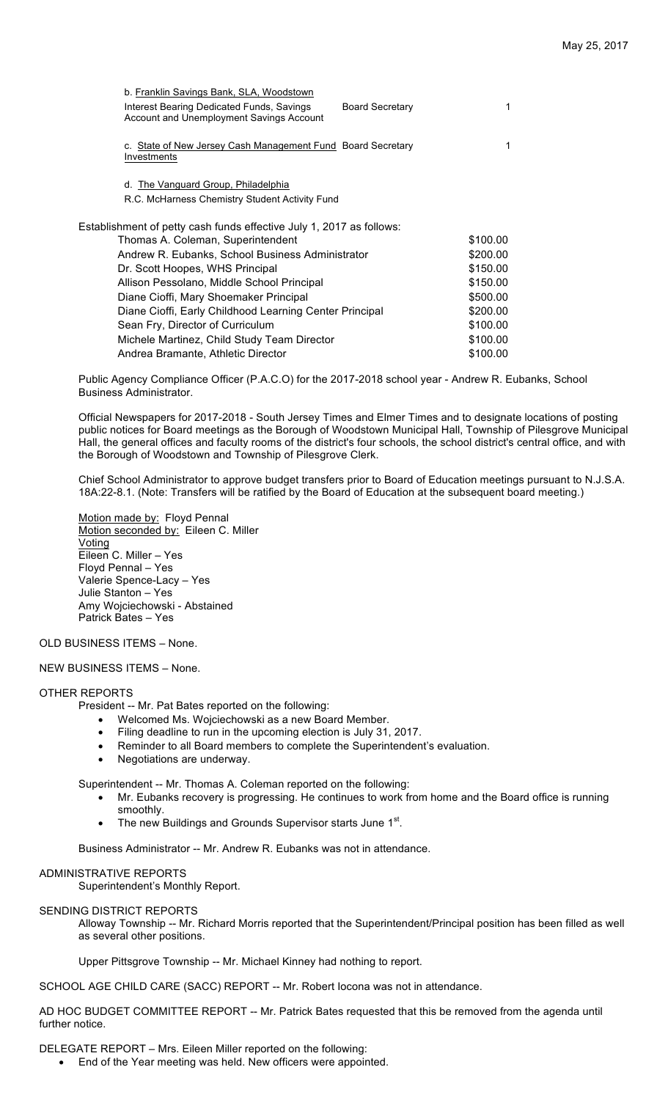| b. Franklin Savings Bank, SLA, Woodstown                                              |                        |          |
|---------------------------------------------------------------------------------------|------------------------|----------|
| Interest Bearing Dedicated Funds, Savings<br>Account and Unemployment Savings Account | <b>Board Secretary</b> | 1        |
| c. State of New Jersey Cash Management Fund Board Secretary<br>Investments            |                        | 1        |
|                                                                                       |                        |          |
| d. The Vanguard Group, Philadelphia                                                   |                        |          |
| R.C. McHarness Chemistry Student Activity Fund                                        |                        |          |
| Establishment of petty cash funds effective July 1, 2017 as follows:                  |                        |          |
| Thomas A. Coleman, Superintendent                                                     | \$100.00               |          |
| Andrew R. Eubanks, School Business Administrator                                      | \$200.00               |          |
| Dr. Scott Hoopes, WHS Principal                                                       | \$150.00               |          |
| Allison Pessolano, Middle School Principal                                            | \$150.00               |          |
| Diane Cioffi, Mary Shoemaker Principal                                                | \$500.00               |          |
| Diane Cioffi, Early Childhood Learning Center Principal                               | \$200.00               |          |
| Sean Fry, Director of Curriculum                                                      |                        | \$100.00 |
| Michele Martinez, Child Study Team Director                                           |                        | \$100.00 |
| Andrea Bramante, Athletic Director                                                    |                        | \$100.00 |

Public Agency Compliance Officer (P.A.C.O) for the 2017-2018 school year - Andrew R. Eubanks, School Business Administrator.

Official Newspapers for 2017-2018 - South Jersey Times and Elmer Times and to designate locations of posting public notices for Board meetings as the Borough of Woodstown Municipal Hall, Township of Pilesgrove Municipal Hall, the general offices and faculty rooms of the district's four schools, the school district's central office, and with the Borough of Woodstown and Township of Pilesgrove Clerk.

Chief School Administrator to approve budget transfers prior to Board of Education meetings pursuant to N.J.S.A. 18A:22-8.1. (Note: Transfers will be ratified by the Board of Education at the subsequent board meeting.)

Motion made by: Floyd Pennal Motion seconded by: Eileen C. Miller Voting Eileen C. Miller – Yes Floyd Pennal – Yes Valerie Spence-Lacy – Yes Julie Stanton – Yes Amy Wojciechowski - Abstained Patrick Bates – Yes

OLD BUSINESS ITEMS – None.

NEW BUSINESS ITEMS – None.

## OTHER REPORTS

President -- Mr. Pat Bates reported on the following:

- Welcomed Ms. Wojciechowski as a new Board Member.
- Filing deadline to run in the upcoming election is July 31, 2017.
- Reminder to all Board members to complete the Superintendent's evaluation.
- Negotiations are underway.

Superintendent -- Mr. Thomas A. Coleman reported on the following:

- Mr. Eubanks recovery is progressing. He continues to work from home and the Board office is running smoothly.
- The new Buildings and Grounds Supervisor starts June 1<sup>st</sup>.

Business Administrator -- Mr. Andrew R. Eubanks was not in attendance.

### ADMINISTRATIVE REPORTS

Superintendent's Monthly Report.

# SENDING DISTRICT REPORTS

Alloway Township -- Mr. Richard Morris reported that the Superintendent/Principal position has been filled as well as several other positions.

Upper Pittsgrove Township -- Mr. Michael Kinney had nothing to report.

SCHOOL AGE CHILD CARE (SACC) REPORT -- Mr. Robert Iocona was not in attendance.

AD HOC BUDGET COMMITTEE REPORT -- Mr. Patrick Bates requested that this be removed from the agenda until further notice.

DELEGATE REPORT – Mrs. Eileen Miller reported on the following:

• End of the Year meeting was held. New officers were appointed.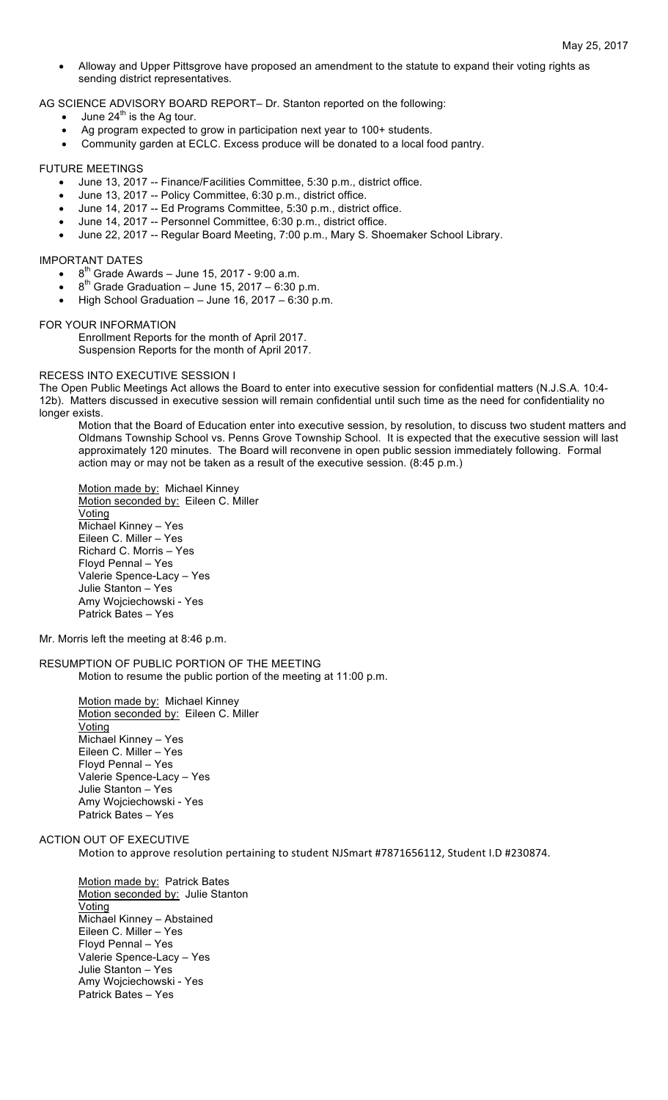• Alloway and Upper Pittsgrove have proposed an amendment to the statute to expand their voting rights as sending district representatives.

AG SCIENCE ADVISORY BOARD REPORT– Dr. Stanton reported on the following:

- June  $24<sup>th</sup>$  is the Ag tour.
- Ag program expected to grow in participation next year to 100+ students.
- Community garden at ECLC. Excess produce will be donated to a local food pantry.

### FUTURE MEETINGS

- June 13, 2017 -- Finance/Facilities Committee, 5:30 p.m., district office.
- June 13, 2017 -- Policy Committee, 6:30 p.m., district office.
- June 14, 2017 -- Ed Programs Committee, 5:30 p.m., district office.
- June 14, 2017 -- Personnel Committee, 6:30 p.m., district office.
- June 22, 2017 -- Regular Board Meeting, 7:00 p.m., Mary S. Shoemaker School Library.

### IMPORTANT DATES

- $\bullet$  8<sup>th</sup> Grade Awards June 15, 2017 9:00 a.m.
- $8<sup>th</sup>$  Grade Graduation June 15, 2017 6:30 p.m.
- High School Graduation June 16, 2017 6:30 p.m.

#### FOR YOUR INFORMATION

Enrollment Reports for the month of April 2017. Suspension Reports for the month of April 2017.

## RECESS INTO EXECUTIVE SESSION I

The Open Public Meetings Act allows the Board to enter into executive session for confidential matters (N.J.S.A. 10:4- 12b). Matters discussed in executive session will remain confidential until such time as the need for confidentiality no longer exists.

Motion that the Board of Education enter into executive session, by resolution, to discuss two student matters and Oldmans Township School vs. Penns Grove Township School. It is expected that the executive session will last approximately 120 minutes. The Board will reconvene in open public session immediately following. Formal action may or may not be taken as a result of the executive session. (8:45 p.m.)

Motion made by: Michael Kinney Motion seconded by: Eileen C. Miller Voting Michael Kinney – Yes Eileen C. Miller – Yes Richard C. Morris – Yes Floyd Pennal – Yes Valerie Spence-Lacy – Yes Julie Stanton – Yes Amy Wojciechowski - Yes Patrick Bates – Yes

# Mr. Morris left the meeting at 8:46 p.m.

RESUMPTION OF PUBLIC PORTION OF THE MEETING Motion to resume the public portion of the meeting at 11:00 p.m.

> Motion made by: Michael Kinney Motion seconded by: Eileen C. Miller Voting Michael Kinney – Yes Eileen C. Miller – Yes Floyd Pennal – Yes Valerie Spence-Lacy – Yes Julie Stanton – Yes Amy Wojciechowski - Yes Patrick Bates – Yes

## ACTION OUT OF EXECUTIVE

Motion to approve resolution pertaining to student NJSmart #7871656112, Student I.D #230874.

Motion made by: Patrick Bates Motion seconded by: Julie Stanton Voting Michael Kinney – Abstained Eileen C. Miller – Yes Floyd Pennal – Yes Valerie Spence-Lacy – Yes Julie Stanton – Yes Amy Wojciechowski - Yes Patrick Bates – Yes